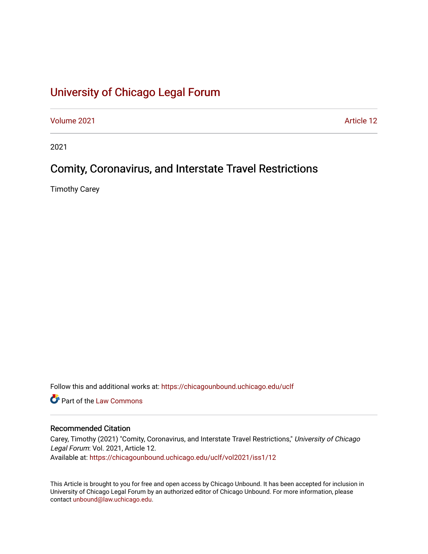# [University of Chicago Legal Forum](https://chicagounbound.uchicago.edu/uclf)

[Volume 2021](https://chicagounbound.uchicago.edu/uclf/vol2021) [Article 12](https://chicagounbound.uchicago.edu/uclf/vol2021/iss1/12) 

2021

# Comity, Coronavirus, and Interstate Travel Restrictions

Timothy Carey

Follow this and additional works at: [https://chicagounbound.uchicago.edu/uclf](https://chicagounbound.uchicago.edu/uclf?utm_source=chicagounbound.uchicago.edu%2Fuclf%2Fvol2021%2Fiss1%2F12&utm_medium=PDF&utm_campaign=PDFCoverPages) 

**C** Part of the [Law Commons](https://network.bepress.com/hgg/discipline/578?utm_source=chicagounbound.uchicago.edu%2Fuclf%2Fvol2021%2Fiss1%2F12&utm_medium=PDF&utm_campaign=PDFCoverPages)

# Recommended Citation

Carey, Timothy (2021) "Comity, Coronavirus, and Interstate Travel Restrictions," University of Chicago Legal Forum: Vol. 2021, Article 12. Available at: [https://chicagounbound.uchicago.edu/uclf/vol2021/iss1/12](https://chicagounbound.uchicago.edu/uclf/vol2021/iss1/12?utm_source=chicagounbound.uchicago.edu%2Fuclf%2Fvol2021%2Fiss1%2F12&utm_medium=PDF&utm_campaign=PDFCoverPages)

This Article is brought to you for free and open access by Chicago Unbound. It has been accepted for inclusion in University of Chicago Legal Forum by an authorized editor of Chicago Unbound. For more information, please contact [unbound@law.uchicago.edu](mailto:unbound@law.uchicago.edu).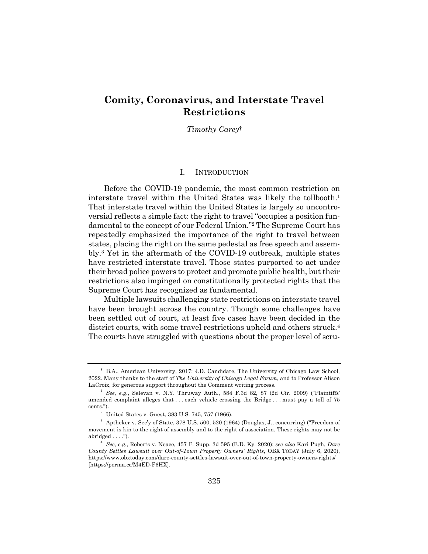# **Comity, Coronavirus, and Interstate Travel Restrictions**

*Timothy Carey*†

#### I. INTRODUCTION

Before the COVID-19 pandemic, the most common restriction on interstate travel within the United States was likely the tollbooth.<sup>1</sup> That interstate travel within the United States is largely so uncontroversial reflects a simple fact: the right to travel "occupies a position fundamental to the concept of our Federal Union."2 The Supreme Court has repeatedly emphasized the importance of the right to travel between states, placing the right on the same pedestal as free speech and assembly.3 Yet in the aftermath of the COVID-19 outbreak, multiple states have restricted interstate travel. Those states purported to act under their broad police powers to protect and promote public health, but their restrictions also impinged on constitutionally protected rights that the Supreme Court has recognized as fundamental.

Multiple lawsuits challenging state restrictions on interstate travel have been brought across the country. Though some challenges have been settled out of court, at least five cases have been decided in the district courts, with some travel restrictions upheld and others struck.4 The courts have struggled with questions about the proper level of scru-

<sup>†</sup> B.A., American University, 2017; J.D. Candidate, The University of Chicago Law School, 2022. Many thanks to the staff of *The University of Chicago Legal Forum*, and to Professor Alison LaCroix, for generous support throughout the Comment writing process.

<sup>1</sup> *See, e.g.*, Selevan v. N.Y. Thruway Auth., 584 F.3d 82, 87 (2d Cir. 2009) ("Plaintiffs' amended complaint alleges that . . . each vehicle crossing the Bridge . . . must pay a toll of 75 cents.").

 $2$  United States v. Guest, 383 U.S. 745, 757 (1966).

 $3$  Aptheker v. Sec'y of State, 378 U.S. 500, 520 (1964) (Douglas, J., concurring) ("Freedom of movement is kin to the right of assembly and to the right of association. These rights may not be abridged  $\dots$ .").

<sup>4</sup> *See, e.g.*, Roberts v. Neace, 457 F. Supp. 3d 595 (E.D. Ky. 2020); *see also* Kari Pugh, *Dare County Settles Lawsuit over Out-of-Town Property Owners' Rights*, OBX TODAY (July 6, 2020), https://www.obxtoday.com/dare-county-settles-lawsuit-over-out-of-town-property-owners-rights/ [https://perma.cc/M4ED-F6HX].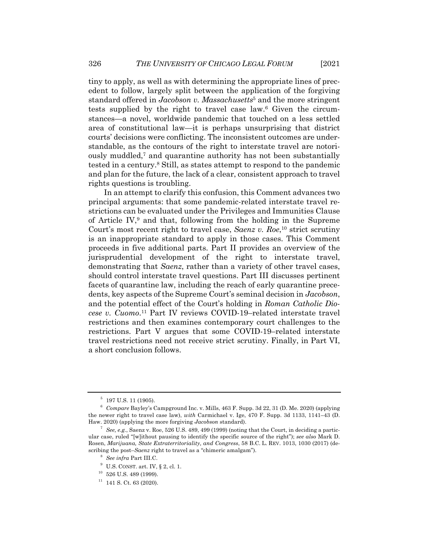tiny to apply, as well as with determining the appropriate lines of precedent to follow, largely split between the application of the forgiving standard offered in *Jacobson v. Massachusetts*<sup>5</sup> and the more stringent tests supplied by the right to travel case law.6 Given the circumstances—a novel, worldwide pandemic that touched on a less settled area of constitutional law—it is perhaps unsurprising that district courts' decisions were conflicting. The inconsistent outcomes are understandable, as the contours of the right to interstate travel are notoriously muddled,7 and quarantine authority has not been substantially tested in a century.8 Still, as states attempt to respond to the pandemic and plan for the future, the lack of a clear, consistent approach to travel rights questions is troubling.

In an attempt to clarify this confusion, this Comment advances two principal arguments: that some pandemic-related interstate travel restrictions can be evaluated under the Privileges and Immunities Clause of Article IV,9 and that, following from the holding in the Supreme Court's most recent right to travel case, *Saenz v. Roe*, <sup>10</sup> strict scrutiny is an inappropriate standard to apply in those cases. This Comment proceeds in five additional parts. Part II provides an overview of the jurisprudential development of the right to interstate travel, demonstrating that *Saenz*, rather than a variety of other travel cases, should control interstate travel questions. Part III discusses pertinent facets of quarantine law, including the reach of early quarantine precedents, key aspects of the Supreme Court's seminal decision in *Jacobson*, and the potential effect of the Court's holding in *Roman Catholic Diocese v. Cuomo*.11 Part IV reviews COVID-19–related interstate travel restrictions and then examines contemporary court challenges to the restrictions. Part V argues that some COVID-19–related interstate travel restrictions need not receive strict scrutiny. Finally, in Part VI, a short conclusion follows.

 $^5\,$  197 U.S. 11 (1905).

<sup>6</sup> *Compare* Bayley's Campground Inc. v. Mills, 463 F. Supp. 3d 22, 31 (D. Me. 2020) (applying the newer right to travel case law), *with* Carmichael v. Ige, 470 F. Supp. 3d 1133, 1141–43 (D. Haw. 2020) (applying the more forgiving *Jacobson* standard).

<sup>7</sup> *See, e.g.*, Saenz v. Roe, 526 U.S. 489, 499 (1999) (noting that the Court, in deciding a particular case, ruled "[w]ithout pausing to identify the specific source of the right"); *see also* Mark D. Rosen, *Marijuana, State Extraterritoriality, and Congress*, 58 B.C. L. REV. 1013, 1030 (2017) (describing the post–*Saenz* right to travel as a "chimeric amalgam").

<sup>8</sup> *See infra* Part III.C.

 $9$  U.S. CONST. art. IV, § 2, cl. 1.

 $10$  526 U.S. 489 (1999).

 $11$  141 S. Ct. 63 (2020).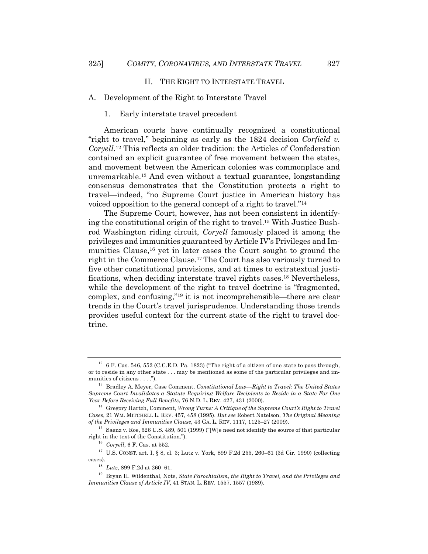#### II. THE RIGHT TO INTERSTATE TRAVEL

#### A. Development of the Right to Interstate Travel

#### 1. Early interstate travel precedent

American courts have continually recognized a constitutional "right to travel," beginning as early as the 1824 decision *Corfield v. Coryell*. <sup>12</sup> This reflects an older tradition: the Articles of Confederation contained an explicit guarantee of free movement between the states, and movement between the American colonies was commonplace and unremarkable.13 And even without a textual guarantee, longstanding consensus demonstrates that the Constitution protects a right to travel—indeed, "no Supreme Court justice in American history has voiced opposition to the general concept of a right to travel."14

The Supreme Court, however, has not been consistent in identifying the constitutional origin of the right to travel.15 With Justice Bushrod Washington riding circuit, *Coryell* famously placed it among the privileges and immunities guaranteed by Article IV's Privileges and Immunities Clause,16 yet in later cases the Court sought to ground the right in the Commerce Clause.17The Court has also variously turned to five other constitutional provisions, and at times to extratextual justifications, when deciding interstate travel rights cases.18 Nevertheless, while the development of the right to travel doctrine is "fragmented, complex, and confusing,"19 it is not incomprehensible—there are clear trends in the Court's travel jurisprudence. Understanding those trends provides useful context for the current state of the right to travel doctrine.

 $12$  6 F. Cas. 546, 552 (C.C.E.D. Pa. 1823) ("The right of a citizen of one state to pass through, or to reside in any other state . . . may be mentioned as some of the particular privileges and immunities of citizens . . . .").

<sup>13</sup> Bradley A. Meyer, Case Comment, *Constitutional Law—Right to Travel: The United States Supreme Court Invalidates a Statute Requiring Welfare Recipients to Reside in a State For One Year Before Receiving Full Benefits*, 76 N.D. L. REV. 427, 431 (2000).

<sup>14</sup> Gregory Hartch, Comment, *Wrong Turns: A Critique of the Supreme Court's Right to Travel Cases*, 21 WM. MITCHELL L. REV. 457, 458 (1995). *But see* Robert Natelson, *The Original Meaning of the Privileges and Immunities Clause*, 43 GA. L. REV. 1117, 1125–27 (2009).

<sup>&</sup>lt;sup>15</sup> Saenz v. Roe, 526 U.S. 489, 501 (1999) ("We need not identify the source of that particular right in the text of the Constitution.").

<sup>16</sup> *Coryell*, 6 F. Cas. at 552.

 $^{17}\,$  U.S. CONST. art. I, § 8, cl. 3; Lutz v. York, 899 F.2d 255, 260–61 (3d Cir. 1990) (collecting cases).

<sup>18</sup> *Lutz*, 899 F.2d at 260–61.

<sup>19</sup> Bryan H. Wildenthal, Note, *State Parochialism, the Right to Travel, and the Privileges and Immunities Clause of Article IV*, 41 STAN. L. REV. 1557, 1557 (1989).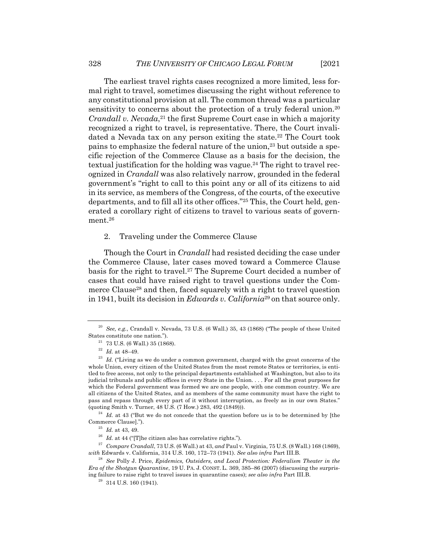The earliest travel rights cases recognized a more limited, less formal right to travel, sometimes discussing the right without reference to any constitutional provision at all. The common thread was a particular sensitivity to concerns about the protection of a truly federal union.<sup>20</sup> *Crandall v. Nevada*,<sup>21</sup> the first Supreme Court case in which a majority recognized a right to travel, is representative. There, the Court invalidated a Nevada tax on any person exiting the state.<sup>22</sup> The Court took pains to emphasize the federal nature of the union,<sup>23</sup> but outside a specific rejection of the Commerce Clause as a basis for the decision, the textual justification for the holding was vague.<sup>24</sup> The right to travel recognized in *Crandall* was also relatively narrow, grounded in the federal government's "right to call to this point any or all of its citizens to aid in its service, as members of the Congress, of the courts, of the executive departments, and to fill all its other offices."25 This, the Court held, generated a corollary right of citizens to travel to various seats of government.26

2. Traveling under the Commerce Clause

Though the Court in *Crandall* had resisted deciding the case under the Commerce Clause, later cases moved toward a Commerce Clause basis for the right to travel.27 The Supreme Court decided a number of cases that could have raised right to travel questions under the Commerce Clause<sup>28</sup> and then, faced squarely with a right to travel question in 1941, built its decision in *Edwards v. California*<sup>29</sup> on that source only.

 $24$  *Id.* at 43 ("But we do not concede that the question before us is to be determined by [the Commerce Clause].").

<sup>27</sup> *Compare Crandall*, 73 U.S. (6 Wall.) at 43, *and* Paul v. Virginia, 75 U.S. (8 Wall.) 168 (1869), *with* Edwards v. California, 314 U.S. 160, 172–73 (1941). *See also infra* Part III.B.

<sup>20</sup> *See, e.g.*, Crandall v. Nevada, 73 U.S. (6 Wall.) 35, 43 (1868) ("The people of these United States constitute one nation.").

 $^{21}$  73 U.S. (6 Wall.) 35 (1868).

<sup>22</sup> *Id.* at 48–49.

<sup>&</sup>lt;sup>23</sup> Id. ("Living as we do under a common government, charged with the great concerns of the whole Union, every citizen of the United States from the most remote States or territories, is entitled to free access, not only to the principal departments established at Washington, but also to its judicial tribunals and public offices in every State in the Union. . . . For all the great purposes for which the Federal government was formed we are one people, with one common country. We are all citizens of the United States, and as members of the same community must have the right to pass and repass through every part of it without interruption, as freely as in our own States." (quoting Smith v. Turner, 48 U.S. (7 How.) 283, 492 (1849))).

<sup>25</sup> *Id.* at 43, 49.

 $^{26}$   $\emph{Id.}$  at 44 ("[T]he citizen also has correlative rights.").

<sup>28</sup> *See* Polly J. Price, *Epidemics, Outsiders, and Local Protection: Federalism Theater in the Era of the Shotgun Quarantine*, 19 U. PA. J. CONST. L. 369, 385–86 (2007) (discussing the surprising failure to raise right to travel issues in quarantine cases); *see also infra* Part III.B.

 $29$  314 U.S. 160 (1941).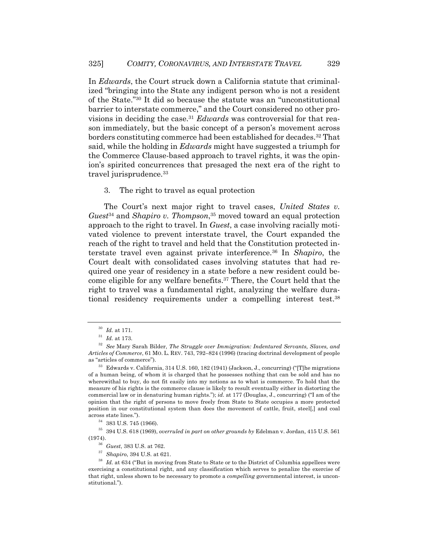In *Edwards*, the Court struck down a California statute that criminalized "bringing into the State any indigent person who is not a resident of the State."30 It did so because the statute was an "unconstitutional barrier to interstate commerce," and the Court considered no other provisions in deciding the case.31 *Edwards* was controversial for that reason immediately, but the basic concept of a person's movement across borders constituting commerce had been established for decades.32 That said, while the holding in *Edwards* might have suggested a triumph for the Commerce Clause-based approach to travel rights, it was the opinion's spirited concurrences that presaged the next era of the right to travel jurisprudence.<sup>33</sup>

#### 3. The right to travel as equal protection

The Court's next major right to travel cases, *United States v. Guest*<sup>34</sup> and *Shapiro v. Thompson*, <sup>35</sup> moved toward an equal protection approach to the right to travel. In *Guest*, a case involving racially motivated violence to prevent interstate travel, the Court expanded the reach of the right to travel and held that the Constitution protected interstate travel even against private interference.36 In *Shapiro*, the Court dealt with consolidated cases involving statutes that had required one year of residency in a state before a new resident could become eligible for any welfare benefits.37 There, the Court held that the right to travel was a fundamental right, analyzing the welfare durational residency requirements under a compelling interest test.38

<sup>30</sup> *Id.* at 171.

<sup>31</sup> *Id.* at 173.

<sup>32</sup> *See* Mary Sarah Bilder, *The Struggle over Immigration: Indentured Servants, Slaves, and Articles of Commerce*, 61 MO. L. REV. 743, 792–824 (1996) (tracing doctrinal development of people as "articles of commerce").

 $33$  Edwards v. California,  $314$  U.S. 160, 182 (1941) (Jackson, J., concurring) ("The migrations" of a human being, of whom it is charged that he possesses nothing that can be sold and has no wherewithal to buy, do not fit easily into my notions as to what is commerce. To hold that the measure of his rights is the commerce clause is likely to result eventually either in distorting the commercial law or in denaturing human rights."); *id.* at 177 (Douglas, J., concurring) ("I am of the opinion that the right of persons to move freely from State to State occupies a more protected position in our constitutional system than does the movement of cattle, fruit, steel[,] and coal across state lines.").

 $^{34}\,$  383 U.S. 745 (1966).

<sup>35</sup> 394 U.S. 618 (1969), *overruled in part on other grounds by* Edelman v. Jordan, 415 U.S. 561 (1974).

<sup>36</sup> *Guest*, 383 U.S. at 762.

<sup>37</sup> *Shapiro*, 394 U.S. at 621.

<sup>&</sup>lt;sup>38</sup> *Id.* at 634 ("But in moving from State to State or to the District of Columbia appellees were exercising a constitutional right, and any classification which serves to penalize the exercise of that right, unless shown to be necessary to promote a *compelling* governmental interest, is unconstitutional.").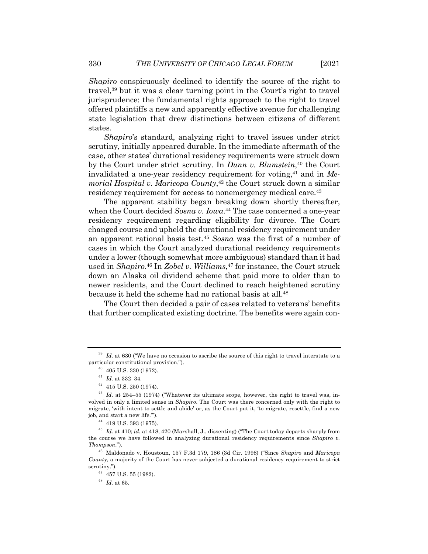*Shapiro* conspicuously declined to identify the source of the right to travel,<sup>39</sup> but it was a clear turning point in the Court's right to travel jurisprudence: the fundamental rights approach to the right to travel offered plaintiffs a new and apparently effective avenue for challenging state legislation that drew distinctions between citizens of different states.

*Shapiro*'s standard, analyzing right to travel issues under strict scrutiny, initially appeared durable. In the immediate aftermath of the case, other states' durational residency requirements were struck down by the Court under strict scrutiny. In *Dunn v. Blumstein*,40 the Court invalidated a one-year residency requirement for voting,<sup>41</sup> and in *Memorial Hospital v. Maricopa County*, <sup>42</sup> the Court struck down a similar residency requirement for access to nonemergency medical care.<sup>43</sup>

The apparent stability began breaking down shortly thereafter, when the Court decided *Sosna v. Iowa*. <sup>44</sup> The case concerned a one-year residency requirement regarding eligibility for divorce. The Court changed course and upheld the durational residency requirement under an apparent rational basis test.45 *Sosna* was the first of a number of cases in which the Court analyzed durational residency requirements under a lower (though somewhat more ambiguous) standard than it had used in *Shapiro*. <sup>46</sup> In *Zobel v. Williams*, <sup>47</sup> for instance, the Court struck down an Alaska oil dividend scheme that paid more to older than to newer residents, and the Court declined to reach heightened scrutiny because it held the scheme had no rational basis at all.48

The Court then decided a pair of cases related to veterans' benefits that further complicated existing doctrine. The benefits were again con-

 $39$  *Id.* at 630 ("We have no occasion to ascribe the source of this right to travel interstate to a particular constitutional provision.").

 $40$  405 U.S. 330 (1972).

<sup>41</sup> *Id.* at 332–34.

 $42$  415 U.S. 250 (1974).

<sup>&</sup>lt;sup>43</sup> *Id.* at 254–55 (1974) ("Whatever its ultimate scope, however, the right to travel was, involved in only a limited sense in *Shapiro*. The Court was there concerned only with the right to migrate, 'with intent to settle and abide' or, as the Court put it, 'to migrate, resettle, find a new job, and start a new life.'").

<sup>44</sup> 419 U.S. 393 (1975).

<sup>45</sup> *Id.* at 410; *id.* at 418, 420 (Marshall, J., dissenting) ("The Court today departs sharply from the course we have followed in analyzing durational residency requirements since *Shapiro v. Thompson*.").

<sup>46</sup> Maldonado v. Houstoun, 157 F.3d 179, 186 (3d Cir. 1998) ("Since *Shapiro* and *Maricopa County*, a majority of the Court has never subjected a durational residency requirement to strict scrutiny.").

 $^{47}\,$  457 U.S. 55 (1982).

<sup>48</sup> *Id.* at 65.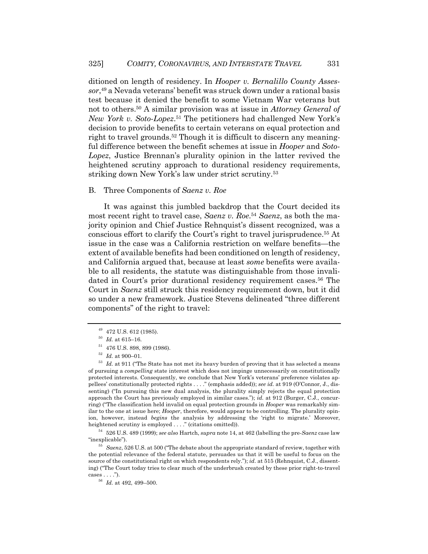ditioned on length of residency. In *Hooper v. Bernalillo County Assessor*, <sup>49</sup> a Nevada veterans' benefit was struck down under a rational basis test because it denied the benefit to some Vietnam War veterans but not to others.50 A similar provision was at issue in *Attorney General of New York v. Soto-Lopez*.51 The petitioners had challenged New York's decision to provide benefits to certain veterans on equal protection and right to travel grounds.<sup>52</sup> Though it is difficult to discern any meaningful difference between the benefit schemes at issue in *Hooper* and *Soto-Lopez*, Justice Brennan's plurality opinion in the latter revived the heightened scrutiny approach to durational residency requirements, striking down New York's law under strict scrutiny.53

#### B. Three Components of *Saenz v. Roe*

It was against this jumbled backdrop that the Court decided its most recent right to travel case, *Saenz v. Roe*. <sup>54</sup> *Saenz*, as both the majority opinion and Chief Justice Rehnquist's dissent recognized, was a conscious effort to clarify the Court's right to travel jurisprudence.55 At issue in the case was a California restriction on welfare benefits—the extent of available benefits had been conditioned on length of residency, and California argued that, because at least *some* benefits were available to all residents, the statute was distinguishable from those invalidated in Court's prior durational residency requirement cases.<sup>56</sup> The Court in *Saenz* still struck this residency requirement down, but it did so under a new framework. Justice Stevens delineated "three different components" of the right to travel:

<sup>54</sup> 526 U.S. 489 (1999); *see also* Hartch, *supra* note 14, at 462 (labelling the pre-*Saenz* case law "inexplicable").

<sup>55</sup> *Saenz*, 526 U.S. at 500 ("The debate about the appropriate standard of review, together with the potential relevance of the federal statute, persuades us that it will be useful to focus on the source of the constitutional right on which respondents rely."); *id.* at 515 (Rehnquist, C.J., dissenting) ("The Court today tries to clear much of the underbrush created by these prior right-to-travel cases . . . .").

<sup>49</sup> 472 U.S. 612 (1985).

 $^{50}\,$   $Id.$  at 615–16.

<sup>51</sup> 476 U.S. 898, 899 (1986).

<sup>52</sup> *Id.* at 900–01.

<sup>53</sup> *Id.* at 911 ("The State has not met its heavy burden of proving that it has selected a means of pursuing a *compelling* state interest which does not impinge unnecessarily on constitutionally protected interests. Consequently, we conclude that New York's veterans' preference violates appellees' constitutionally protected rights . . . ." (emphasis added)); *see id.* at 919 (O'Connor, J., dissenting) ("In pursuing this new dual analysis, the plurality simply rejects the equal protection approach the Court has previously employed in similar cases."); *id.* at 912 (Burger, C.J., concurring) ("The classification held invalid on equal protection grounds in *Hooper* was remarkably similar to the one at issue here; *Hooper*, therefore, would appear to be controlling. The plurality opinion, however, instead *begins* the analysis by addressing the 'right to migrate.' Moreover, heightened scrutiny is employed . . . ." (citations omitted)).

<sup>56</sup> *Id.* at 492, 499–500.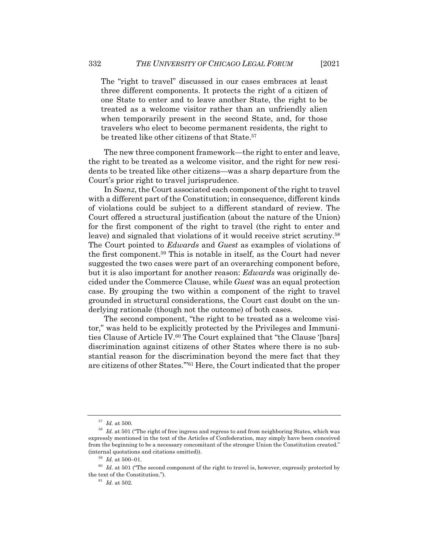The "right to travel" discussed in our cases embraces at least three different components. It protects the right of a citizen of one State to enter and to leave another State, the right to be treated as a welcome visitor rather than an unfriendly alien when temporarily present in the second State, and, for those travelers who elect to become permanent residents, the right to be treated like other citizens of that State.<sup>57</sup>

The new three component framework—the right to enter and leave, the right to be treated as a welcome visitor, and the right for new residents to be treated like other citizens—was a sharp departure from the Court's prior right to travel jurisprudence.

In *Saenz*, the Court associated each component of the right to travel with a different part of the Constitution; in consequence, different kinds of violations could be subject to a different standard of review. The Court offered a structural justification (about the nature of the Union) for the first component of the right to travel (the right to enter and leave) and signaled that violations of it would receive strict scrutiny.58 The Court pointed to *Edwards* and *Guest* as examples of violations of the first component.59 This is notable in itself, as the Court had never suggested the two cases were part of an overarching component before, but it is also important for another reason: *Edwards* was originally decided under the Commerce Clause, while *Guest* was an equal protection case. By grouping the two within a component of the right to travel grounded in structural considerations, the Court cast doubt on the underlying rationale (though not the outcome) of both cases.

The second component, "the right to be treated as a welcome visitor," was held to be explicitly protected by the Privileges and Immunities Clause of Article IV.<sup>60</sup> The Court explained that "the Clause '[bars] discrimination against citizens of other States where there is no substantial reason for the discrimination beyond the mere fact that they are citizens of other States.'"61 Here, the Court indicated that the proper

 $\,$   $57$   $\,$   $Id.$  at 500.

<sup>58</sup> *Id.* at 501 ("The right of free ingress and regress to and from neighboring States, which was expressly mentioned in the text of the Articles of Confederation, may simply have been conceived from the beginning to be a necessary concomitant of the stronger Union the Constitution created." (internal quotations and citations omitted)).

 $^{59}$  *Id.* at 500–01.

 $60$  *Id.* at 501 ("The second component of the right to travel is, however, expressly protected by the text of the Constitution.").

<sup>61</sup> *Id.* at 502.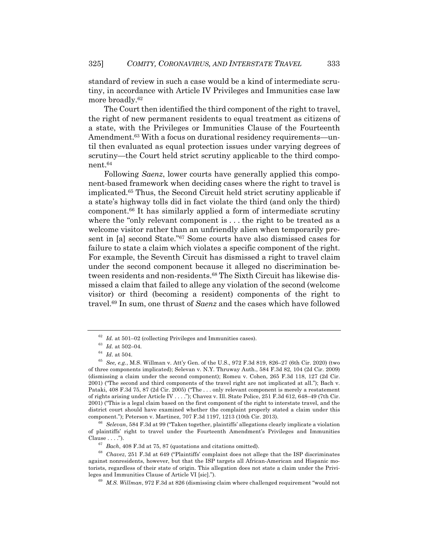standard of review in such a case would be a kind of intermediate scrutiny, in accordance with Article IV Privileges and Immunities case law more broadly.62

The Court then identified the third component of the right to travel, the right of new permanent residents to equal treatment as citizens of a state, with the Privileges or Immunities Clause of the Fourteenth Amendment.<sup>63</sup> With a focus on durational residency requirements—until then evaluated as equal protection issues under varying degrees of scrutiny—the Court held strict scrutiny applicable to the third component.64

Following *Saenz*, lower courts have generally applied this component-based framework when deciding cases where the right to travel is implicated.65 Thus, the Second Circuit held strict scrutiny applicable if a state's highway tolls did in fact violate the third (and only the third) component.66 It has similarly applied a form of intermediate scrutiny where the "only relevant component is . . . the right to be treated as a welcome visitor rather than an unfriendly alien when temporarily present in [a] second State."67 Some courts have also dismissed cases for failure to state a claim which violates a specific component of the right. For example, the Seventh Circuit has dismissed a right to travel claim under the second component because it alleged no discrimination between residents and non-residents.68 The Sixth Circuit has likewise dismissed a claim that failed to allege any violation of the second (welcome visitor) or third (becoming a resident) components of the right to travel.69 In sum, one thrust of *Saenz* and the cases which have followed

<sup>62</sup> *Id.* at 501–02 (collecting Privileges and Immunities cases).

 $\,$   $^{63}$   $\,$   $Id.$  at 502–04.

 $^{64}\,$   $Id.\;$  at 504.

<sup>65</sup> *See, e.g.*, M.S. Willman v. Att'y Gen. of the U.S., 972 F.3d 819, 826–27 (6th Cir. 2020) (two of three components implicated); Selevan v. N.Y. Thruway Auth., 584 F.3d 82, 104 (2d Cir. 2009) (dismissing a claim under the second component); Romeu v. Cohen, 265 F.3d 118, 127 (2d Cir. 2001) ("The second and third components of the travel right are not implicated at all."); Bach v. Pataki, 408 F.3d 75, 87 (2d Cir. 2005) ("The . . . only relevant component is merely a restatement of rights arising under Article IV . . . ."); Chavez v. Ill. State Police, 251 F.3d 612, 648–49 (7th Cir. 2001) ("This is a legal claim based on the first component of the right to interstate travel, and the district court should have examined whether the complaint properly stated a claim under this component."); Peterson v. Martinez, 707 F.3d 1197, 1213 (10th Cir. 2013).

<sup>66</sup> *Selevan*, 584 F.3d at 99 ("Taken together, plaintiffs' allegations clearly implicate a violation of plaintiffs' right to travel under the Fourteenth Amendment's Privileges and Immunities Clause . . . .").

<sup>67</sup> *Bach*, 408 F.3d at 75, 87 (quotations and citations omitted).

<sup>68</sup> *Chavez*, 251 F.3d at 649 ("Plaintiffs' complaint does not allege that the ISP discriminates against nonresidents, however, but that the ISP targets all African-American and Hispanic motorists, regardless of their state of origin. This allegation does not state a claim under the Privileges and Immunities Clause of Article VI [sic].").

<sup>69</sup> *M.S. Willman*, 972 F.3d at 826 (dismissing claim where challenged requirement "would not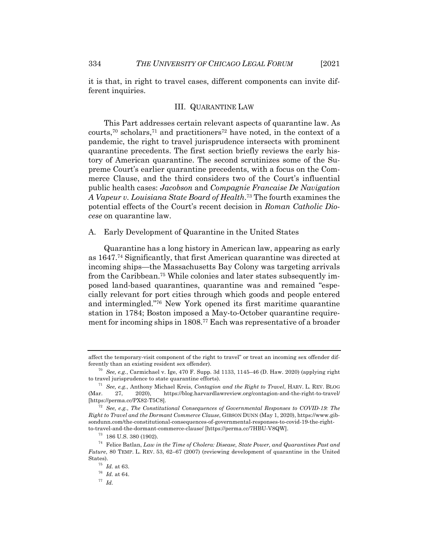it is that, in right to travel cases, different components can invite different inquiries.

#### III. QUARANTINE LAW

This Part addresses certain relevant aspects of quarantine law. As courts,<sup>70</sup> scholars,<sup>71</sup> and practitioners<sup>72</sup> have noted, in the context of a pandemic, the right to travel jurisprudence intersects with prominent quarantine precedents. The first section briefly reviews the early history of American quarantine. The second scrutinizes some of the Supreme Court's earlier quarantine precedents, with a focus on the Commerce Clause, and the third considers two of the Court's influential public health cases: *Jacobson* and *Compagnie Francaise De Navigation A Vapeur v. Louisiana State Board of Health*. <sup>73</sup> The fourth examines the potential effects of the Court's recent decision in *Roman Catholic Diocese* on quarantine law.

A. Early Development of Quarantine in the United States

Quarantine has a long history in American law, appearing as early as 1647.74 Significantly, that first American quarantine was directed at incoming ships—the Massachusetts Bay Colony was targeting arrivals from the Caribbean.75 While colonies and later states subsequently imposed land-based quarantines, quarantine was and remained "especially relevant for port cities through which goods and people entered and intermingled."76 New York opened its first maritime quarantine station in 1784; Boston imposed a May-to-October quarantine requirement for incoming ships in 1808.77 Each was representative of a broader

affect the temporary-visit component of the right to travel" or treat an incoming sex offender differently than an existing resident sex offender).

<sup>70</sup> *See, e.g.*, Carmichael v. Ige, 470 F. Supp. 3d 1133, 1145–46 (D. Haw. 2020) (applying right to travel jurisprudence to state quarantine efforts).

<sup>71</sup> *See, e.g.*, Anthony Michael Kreis, *Contagion and the Right to Travel*, HARV. L. REV. BLOG (Mar. 27, 2020), https://blog.harvardlawreview.org/contagion-and-the-right-to-travel/ [https://perma.cc/PX82-T5C8].

<sup>72</sup> *See, e.g.*, *The Constitutional Consequences of Governmental Responses to COVID-19: The Right to Travel and the Dormant Commerce Clause*, GIBSON DUNN (May 1, 2020), https://www.gibsondunn.com/the-constitutional-consequences-of-governmental-responses-to-covid-19-the-rightto-travel-and-the-dormant-commerce-clause/ [https://perma.cc/7HBU-V8QW].

<sup>73</sup> 186 U.S. 380 (1902).

<sup>74</sup> Felice Batlan, *Law in the Time of Cholera: Disease, State Power, and Quarantines Past and Future*, 80 TEMP. L. REV. 53, 62–67 (2007) (reviewing development of quarantine in the United States).

 $^{75}\,$   $Id.\,$  at 63.

<sup>76</sup> *Id.* at 64.

<sup>77</sup> *Id.*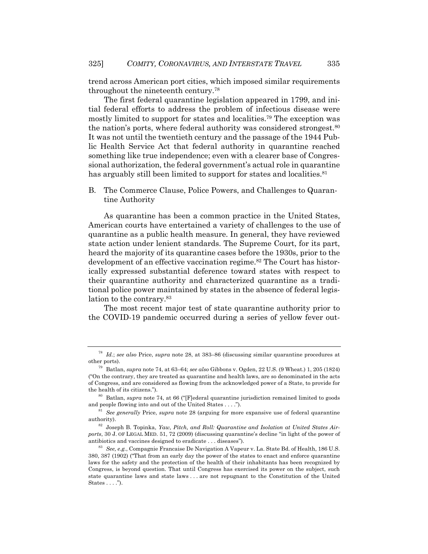trend across American port cities, which imposed similar requirements throughout the nineteenth century.78

The first federal quarantine legislation appeared in 1799, and initial federal efforts to address the problem of infectious disease were mostly limited to support for states and localities.79 The exception was the nation's ports, where federal authority was considered strongest.<sup>80</sup> It was not until the twentieth century and the passage of the 1944 Public Health Service Act that federal authority in quarantine reached something like true independence; even with a clearer base of Congressional authorization, the federal government's actual role in quarantine has arguably still been limited to support for states and localities.<sup>81</sup>

B. The Commerce Clause, Police Powers, and Challenges to Quarantine Authority

As quarantine has been a common practice in the United States, American courts have entertained a variety of challenges to the use of quarantine as a public health measure. In general, they have reviewed state action under lenient standards. The Supreme Court, for its part, heard the majority of its quarantine cases before the 1930s, prior to the development of an effective vaccination regime.<sup>82</sup> The Court has historically expressed substantial deference toward states with respect to their quarantine authority and characterized quarantine as a traditional police power maintained by states in the absence of federal legislation to the contrary.83

The most recent major test of state quarantine authority prior to the COVID-19 pandemic occurred during a series of yellow fever out-

<sup>78</sup> *Id.*; *see also* Price, *supra* note 28, at 383–86 (discussing similar quarantine procedures at other ports).

<sup>79</sup> Batlan, *supra* note 74, at 63–64; *see also* Gibbons v. Ogden, 22 U.S. (9 Wheat.) 1, 205 (1824) ("On the contrary, they are treated as quarantine and health laws, are so denominated in the acts of Congress, and are considered as flowing from the acknowledged power of a State, to provide for the health of its citizens.").

Batlan, *supra* note 74, at 66 ("[F]ederal quarantine jurisdiction remained limited to goods and people flowing into and out of the United States . . . .").

<sup>81</sup> *See generally* Price, *supra* note 28 (arguing for more expansive use of federal quarantine authority).

<sup>82</sup> Joseph B. Topinka, *Yaw, Pitch, and Roll: Quarantine and Isolation at United States Airports*, 30 J. OF LEGAL MED. 51, 72 (2009) (discussing quarantine's decline "in light of the power of antibiotics and vaccines designed to eradicate . . . diseases").

<sup>83</sup> *See, e.g.*, Compagnie Francaise De Navigation A Vapeur v. La. State Bd. of Health, 186 U.S. 380, 387 (1902) ("That from an early day the power of the states to enact and enforce quarantine laws for the safety and the protection of the health of their inhabitants has been recognized by Congress, is beyond question. That until Congress has exercised its power on the subject, such state quarantine laws and state laws . . . are not repugnant to the Constitution of the United States . . . .").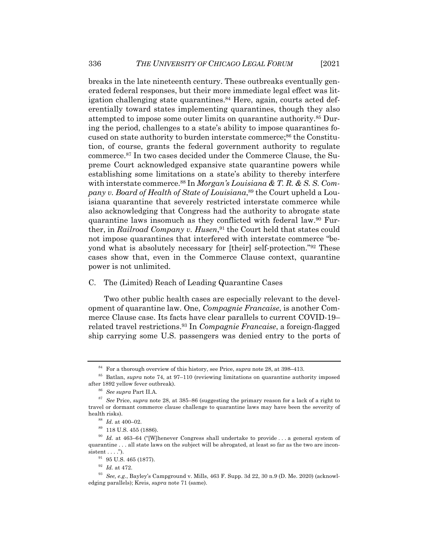breaks in the late nineteenth century. These outbreaks eventually generated federal responses, but their more immediate legal effect was litigation challenging state quarantines.<sup>84</sup> Here, again, courts acted deferentially toward states implementing quarantines, though they also attempted to impose some outer limits on quarantine authority.85 During the period, challenges to a state's ability to impose quarantines focused on state authority to burden interstate commerce;<sup>86</sup> the Constitution, of course, grants the federal government authority to regulate commerce.87 In two cases decided under the Commerce Clause, the Supreme Court acknowledged expansive state quarantine powers while establishing some limitations on a state's ability to thereby interfere with interstate commerce.<sup>88</sup> In *Morgan's Louisiana & T.R. & S.S. Company v. Board of Health of State of Louisiana*, <sup>89</sup> the Court upheld a Louisiana quarantine that severely restricted interstate commerce while also acknowledging that Congress had the authority to abrogate state quarantine laws insomuch as they conflicted with federal law.90 Further, in *Railroad Company v. Husen*, <sup>91</sup> the Court held that states could not impose quarantines that interfered with interstate commerce "beyond what is absolutely necessary for [their] self-protection."92 These cases show that, even in the Commerce Clause context, quarantine power is not unlimited.

#### C. The (Limited) Reach of Leading Quarantine Cases

Two other public health cases are especially relevant to the development of quarantine law. One, *Compagnie Francaise*, is another Commerce Clause case. Its facts have clear parallels to current COVID-19– related travel restrictions.93 In *Compagnie Francaise*, a foreign-flagged ship carrying some U.S. passengers was denied entry to the ports of

<sup>84</sup> For a thorough overview of this history, see Price, *supra* note 28, at 398–413.

<sup>85</sup> Batlan, *supra* note 74, at 97–110 (reviewing limitations on quarantine authority imposed after 1892 yellow fever outbreak).

<sup>86</sup> *See supra* Part II.A.

<sup>87</sup> *See* Price, *supra* note 28, at 385–86 (suggesting the primary reason for a lack of a right to travel or dormant commerce clause challenge to quarantine laws may have been the severity of health risks).

 $^{88}\,$   $Id.$  at 400–02.

<sup>89</sup> 118 U.S. 455 (1886).

<sup>90</sup> *Id.* at 463–64 ("[W]henever Congress shall undertake to provide . . . a general system of quarantine . . . all state laws on the subject will be abrogated, at least so far as the two are inconsistent  $\dots$ .").

 $^{91}\,$  95 U.S. 465 (1877).

<sup>92</sup> *Id.* at 472.

<sup>93</sup> *See, e.g.*, Bayley's Campground v. Mills, 463 F. Supp. 3d 22, 30 n.9 (D. Me. 2020) (acknowledging parallels); Kreis, *supra* note 71 (same).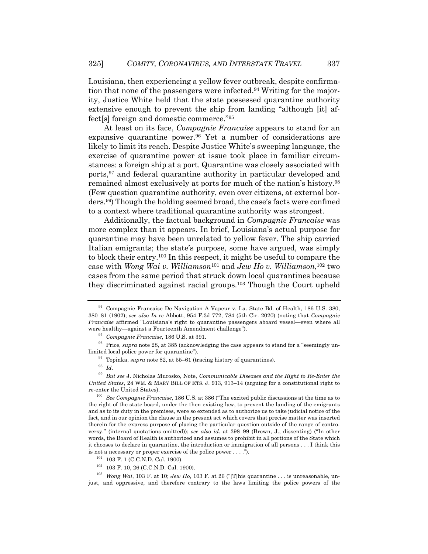Louisiana, then experiencing a yellow fever outbreak, despite confirmation that none of the passengers were infected.94 Writing for the majority, Justice White held that the state possessed quarantine authority extensive enough to prevent the ship from landing "although [it] affect[s] foreign and domestic commerce."95

At least on its face, *Compagnie Francaise* appears to stand for an expansive quarantine power.96 Yet a number of considerations are likely to limit its reach. Despite Justice White's sweeping language, the exercise of quarantine power at issue took place in familiar circumstances: a foreign ship at a port. Quarantine was closely associated with ports,97 and federal quarantine authority in particular developed and remained almost exclusively at ports for much of the nation's history.98 (Few question quarantine authority, even over citizens, at external borders.99) Though the holding seemed broad, the case's facts were confined to a context where traditional quarantine authority was strongest.

Additionally, the factual background in *Compagnie Francaise* was more complex than it appears. In brief, Louisiana's actual purpose for quarantine may have been unrelated to yellow fever. The ship carried Italian emigrants; the state's purpose, some have argued, was simply to block their entry.100 In this respect, it might be useful to compare the case with *Wong Wai v. Williamson*<sup>101</sup> and *Jew Ho v. Williamson*, <sup>102</sup> two cases from the same period that struck down local quarantines because they discriminated against racial groups.103 Though the Court upheld

<sup>94</sup> Compagnie Francaise De Navigation A Vapeur v. La. State Bd. of Health, 186 U.S. 380, 380–81 (1902); *see also In re* Abbott, 954 F.3d 772, 784 (5th Cir. 2020) (noting that *Compagnie Francaise* affirmed "Louisiana's right to quarantine passengers aboard vessel—even where all were healthy—against a Fourteenth Amendment challenge").

<sup>95</sup> *Compagnie Francaise*, 186 U.S. at 391.

<sup>&</sup>lt;sup>96</sup> Price, *supra* note 28, at 385 (acknowledging the case appears to stand for a "seemingly unlimited local police power for quarantine").

<sup>97</sup> Topinka, *supra* note 82, at 55–61 (tracing history of quarantines).

<sup>98</sup> *Id.*

<sup>99</sup> *But see* J. Nicholas Murosko, Note, *Communicable Diseases and the Right to Re-Enter the United States*, 24 WM. & MARY BILL OF RTS. J. 913, 913–14 (arguing for a constitutional right to re-enter the United States).

<sup>100</sup> *See Compagnie Francaise*, 186 U.S. at 386 ("The excited public discussions at the time as to the right of the state board, under the then existing law, to prevent the landing of the emigrants and as to its duty in the premises, were so extended as to authorize us to take judicial notice of the fact, and in our opinion the clause in the present act which covers that precise matter was inserted therein for the express purpose of placing the particular question outside of the range of controversy." (internal quotations omitted)); *see also id.* at 398–99 (Brown, J., dissenting) ("In other words, the Board of Health is authorized and assumes to prohibit in all portions of the State which it chooses to declare in quarantine, the introduction or immigration of all persons . . . I think this is not a necessary or proper exercise of the police power . . . .").

<sup>101</sup> 103 F. 1 (C.C.N.D. Cal. 1900).

<sup>102</sup> 103 F. 10, 26 (C.C.N.D. Cal. 1900).

<sup>103</sup> *Wong Wai*, 103 F. at 10; *Jew Ho*, 103 F. at 26 ("[T]his quarantine . . . is unreasonable, unjust, and oppressive, and therefore contrary to the laws limiting the police powers of the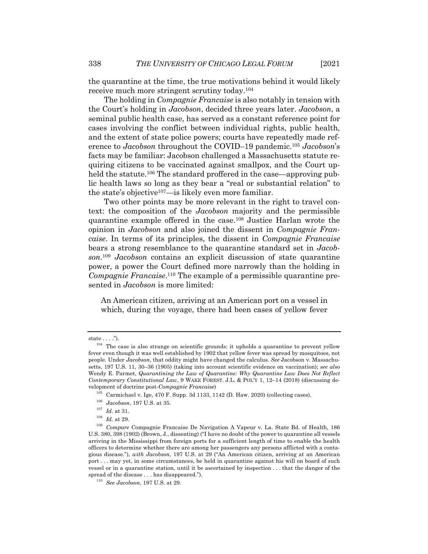the quarantine at the time, the true motivations behind it would likely

receive much more stringent scrutiny today.104 The holding in *Compagnie Francaise* is also notably in tension with the Court's holding in *Jacobson*, decided three years later. *Jacobson*, a seminal public health case, has served as a constant reference point for cases involving the conflict between individual rights, public health, and the extent of state police powers; courts have repeatedly made reference to *Jacobson* throughout the COVID–19 pandemic.105 *Jacobson*'s facts may be familiar: Jacobson challenged a Massachusetts statute requiring citizens to be vaccinated against smallpox, and the Court upheld the statute.<sup>106</sup> The standard proffered in the case—approving public health laws so long as they bear a "real or substantial relation" to the state's objective107—is likely even more familiar.

Two other points may be more relevant in the right to travel context: the composition of the *Jacobson* majority and the permissible quarantine example offered in the case.108 Justice Harlan wrote the opinion in *Jacobson* and also joined the dissent in *Compagnie Francaise*. In terms of its principles, the dissent in *Compagnie Francaise* bears a strong resemblance to the quarantine standard set in *Jacobson*. <sup>109</sup> *Jacobson* contains an explicit discussion of state quarantine power, a power the Court defined more narrowly than the holding in *Compagnie Francaise*. <sup>110</sup> The example of a permissible quarantine presented in *Jacobson* is more limited:

An American citizen, arriving at an American port on a vessel in which, during the voyage, there had been cases of yellow fever

state  $\dots$ .").

<sup>&</sup>lt;sup>104</sup> The case is also strange on scientific grounds: it upholds a quarantine to prevent yellow fever even though it was well established by 1902 that yellow fever was spread by mosquitoes, not people. Under *Jacobson*, that oddity might have changed the calculus. *See* Jacobson v. Massachusetts, 197 U.S. 11, 30–36 (1905) (taking into account scientific evidence on vaccination); *see also* Wendy E. Parmet, *Quarantining the Law of Quarantine: Why Quarantine Law Does Not Reflect Contemporary Constitutional Law*, 9 WAKE FOREST. J.L. & POL'Y 1, 12–14 (2018) (discussing development of doctrine post-*Compagnie Francaise*)

 $105$  Carmichael v. Ige, 470 F. Supp. 3d 1133, 1142 (D. Haw. 2020) (collecting cases).

<sup>106</sup> *Jacobson*, 197 U.S. at 35.

 $^{107}$   $\,$   $Id.$  at 31.

 $\frac{108}{109}$  *Id.* at 29.

<sup>109</sup> *Compare* Compagnie Francaise De Navigation A Vapeur v. La. State Bd. of Health, 186 U.S. 380, 398 (1902) (Brown, J., dissenting) ("I have no doubt of the power to quarantine all vessels arriving in the Mississippi from foreign ports for a sufficient length of time to enable the health officers to determine whether there are among her passengers any persons afflicted with a contagious disease."), *with Jacobson*, 197 U.S. at 29 ("An American citizen, arriving at an American port . . . may yet, in some circumstances, be held in quarantine against his will on board of such vessel or in a quarantine station, until it be ascertained by inspection . . . that the danger of the spread of the disease . . . has disappeared.").

<sup>110</sup> *See Jacobson*, 197 U.S. at 29.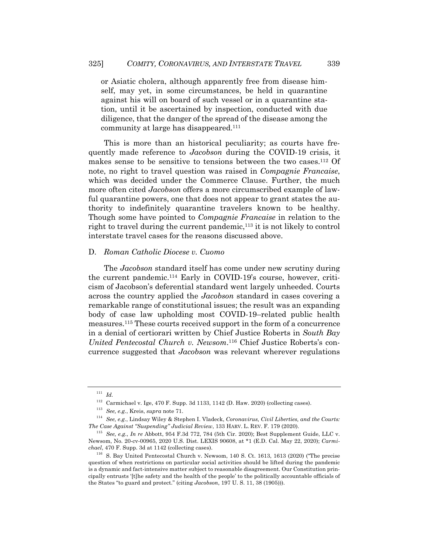or Asiatic cholera, although apparently free from disease himself, may yet, in some circumstances, be held in quarantine against his will on board of such vessel or in a quarantine station, until it be ascertained by inspection, conducted with due diligence, that the danger of the spread of the disease among the community at large has disappeared.111

This is more than an historical peculiarity; as courts have frequently made reference to *Jacobson* during the COVID-19 crisis, it makes sense to be sensitive to tensions between the two cases.112 Of note, no right to travel question was raised in *Compagnie Francaise*, which was decided under the Commerce Clause. Further, the much more often cited *Jacobson* offers a more circumscribed example of lawful quarantine powers, one that does not appear to grant states the authority to indefinitely quarantine travelers known to be healthy. Though some have pointed to *Compagnie Francaise* in relation to the right to travel during the current pandemic,  $^{113}$  it is not likely to control interstate travel cases for the reasons discussed above.

#### D. *Roman Catholic Diocese v. Cuomo*

The *Jacobson* standard itself has come under new scrutiny during the current pandemic.114 Early in COVID-19's course, however, criticism of Jacobson's deferential standard went largely unheeded. Courts across the country applied the *Jacobson* standard in cases covering a remarkable range of constitutional issues; the result was an expanding body of case law upholding most COVID-19–related public health measures.115 These courts received support in the form of a concurrence in a denial of certiorari written by Chief Justice Roberts in *South Bay United Pentecostal Church v. Newsom*.116 Chief Justice Roberts's concurrence suggested that *Jacobson* was relevant wherever regulations

<sup>111</sup> *Id.*

 $112$  Carmichael v. Ige, 470 F. Supp. 3d 1133, 1142 (D. Haw. 2020) (collecting cases).

<sup>113</sup> *See, e.g.*, Kreis, *supra* note 71.

<sup>114</sup> *See, e.g.*, Lindsay Wiley & Stephen I. Vladeck, *Coronavirus, Civil Liberties, and the Courts: The Case Against "Suspending" Judicial Review*, 133 HARV. L. REV. F. 179 (2020).

<sup>115</sup> *See, e.g.*, *In re* Abbott, 954 F.3d 772, 784 (5th Cir. 2020); Best Supplement Guide, LLC v. Newsom, No. 20-cv-00965, 2020 U.S. Dist. LEXIS 90608, at \*1 (E.D. Cal. May 22, 2020); *Carmichael*, 470 F. Supp. 3d at 1142 (collecting cases).

 $116$  S. Bay United Pentecostal Church v. Newsom, 140 S. Ct. 1613, 1613 (2020) ("The precise question of when restrictions on particular social activities should be lifted during the pandemic is a dynamic and fact-intensive matter subject to reasonable disagreement. Our Constitution principally entrusts '[t]he safety and the health of the people' to the politically accountable officials of the States "to guard and protect." (citing *Jacobson*, 197 U. S. 11, 38 (1905))).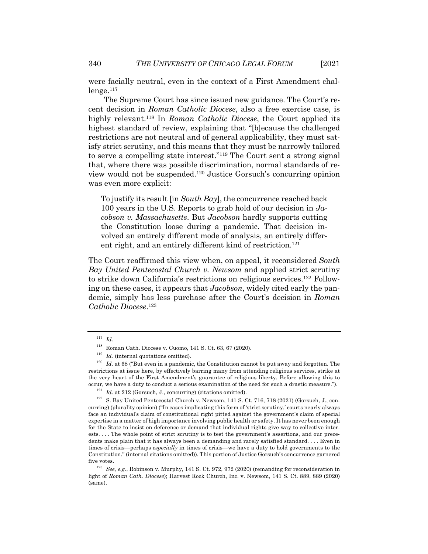were facially neutral, even in the context of a First Amendment chal $l$ enge.<sup>117</sup>

The Supreme Court has since issued new guidance. The Court's recent decision in *Roman Catholic Diocese*, also a free exercise case, is highly relevant.118 In *Roman Catholic Diocese*, the Court applied its highest standard of review, explaining that "[b]ecause the challenged restrictions are not neutral and of general applicability, they must satisfy strict scrutiny, and this means that they must be narrowly tailored to serve a compelling state interest."119 The Court sent a strong signal that, where there was possible discrimination, normal standards of review would not be suspended.120 Justice Gorsuch's concurring opinion was even more explicit:

To justify its result [in *South Bay*], the concurrence reached back 100 years in the U.S. Reports to grab hold of our decision in *Jacobson v. Massachusetts*. But *Jacobson* hardly supports cutting the Constitution loose during a pandemic. That decision involved an entirely different mode of analysis, an entirely different right, and an entirely different kind of restriction.<sup>121</sup>

The Court reaffirmed this view when, on appeal, it reconsidered *South Bay United Pentecostal Church v. Newsom* and applied strict scrutiny to strike down California's restrictions on religious services.122 Following on these cases, it appears that *Jacobson*, widely cited early the pandemic, simply has less purchase after the Court's decision in *Roman Catholic Diocese*. 123

<sup>117</sup> *Id.*

<sup>118</sup> Roman Cath. Diocese v. Cuomo, 141 S. Ct. 63, 67 (2020).

<sup>&</sup>lt;sup>119</sup> *Id.* (internal quotations omitted).

<sup>&</sup>lt;sup>120</sup> *Id.* at 68 ("But even in a pandemic, the Constitution cannot be put away and forgotten. The restrictions at issue here, by effectively barring many from attending religious services, strike at the very heart of the First Amendment's guarantee of religious liberty. Before allowing this to occur, we have a duty to conduct a serious examination of the need for such a drastic measure.").

<sup>&</sup>lt;sup>121</sup> *Id.* at 212 (Gorsuch, J., concurring) (citations omitted).

<sup>&</sup>lt;sup>122</sup> S. Bay United Pentecostal Church v. Newsom, 141 S. Ct. 716, 718 (2021) (Gorsuch, J., concurring) (plurality opinion) ("In cases implicating this form of 'strict scrutiny,' courts nearly always face an individual's claim of constitutional right pitted against the government's claim of special expertise in a matter of high importance involving public health or safety. It has never been enough for the State to insist on deference or demand that individual rights give way to collective interests. . . . The whole point of strict scrutiny is to test the government's assertions, and our precedents make plain that it has always been a demanding and rarely satisfied standard. . . . Even in times of crisis—perhaps *especially* in times of crisis—we have a duty to hold governments to the Constitution." (internal citations omitted)). This portion of Justice Gorsuch's concurrence garnered five votes.

<sup>123</sup> *See, e.g.*, Robinson v. Murphy, 141 S. Ct. 972, 972 (2020) (remanding for reconsideration in light of *Roman Cath. Diocese*); Harvest Rock Church, Inc. v. Newsom, 141 S. Ct. 889, 889 (2020) (same).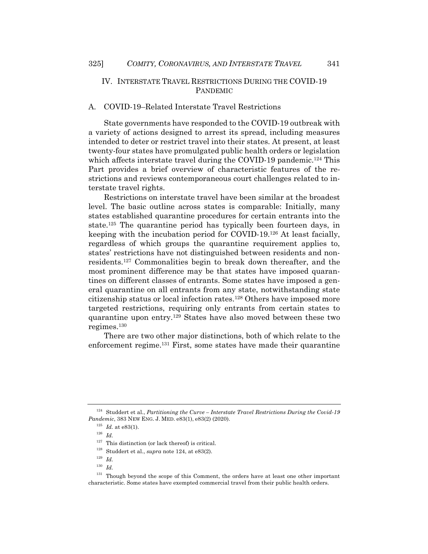# IV. INTERSTATE TRAVEL RESTRICTIONS DURING THE COVID-19 PANDEMIC

#### A. COVID-19–Related Interstate Travel Restrictions

State governments have responded to the COVID-19 outbreak with a variety of actions designed to arrest its spread, including measures intended to deter or restrict travel into their states. At present, at least twenty-four states have promulgated public health orders or legislation which affects interstate travel during the COVID-19 pandemic.<sup>124</sup> This Part provides a brief overview of characteristic features of the restrictions and reviews contemporaneous court challenges related to interstate travel rights.

Restrictions on interstate travel have been similar at the broadest level. The basic outline across states is comparable: Initially, many states established quarantine procedures for certain entrants into the state.125 The quarantine period has typically been fourteen days, in keeping with the incubation period for COVID-19.126 At least facially, regardless of which groups the quarantine requirement applies to, states' restrictions have not distinguished between residents and nonresidents.127 Commonalities begin to break down thereafter, and the most prominent difference may be that states have imposed quarantines on different classes of entrants. Some states have imposed a general quarantine on all entrants from any state, notwithstanding state citizenship status or local infection rates.128 Others have imposed more targeted restrictions, requiring only entrants from certain states to quarantine upon entry.129 States have also moved between these two regimes.130

There are two other major distinctions, both of which relate to the enforcement regime.131 First, some states have made their quarantine

<sup>124</sup> Studdert et al., *Partitioning the Curve – Interstate Travel Restrictions During the Covid-19 Pandemic*, 383 NEW ENG. J. MED. e83(1), e83(2) (2020).

 $^{125}\,$   $Id.\,$  at e83(1).

<sup>126</sup> *Id.*

 $127$  This distinction (or lack thereof) is critical.

<sup>128</sup> Studdert et al., *supra* note 124, at e83(2).

<sup>129</sup> *Id.*

<sup>130</sup> *Id.*

<sup>&</sup>lt;sup>131</sup> Though beyond the scope of this Comment, the orders have at least one other important characteristic. Some states have exempted commercial travel from their public health orders.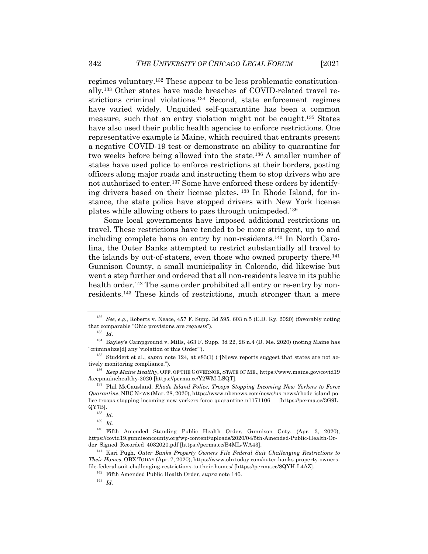regimes voluntary.132 These appear to be less problematic constitutionally.133 Other states have made breaches of COVID-related travel restrictions criminal violations.134 Second, state enforcement regimes have varied widely. Unguided self-quarantine has been a common measure, such that an entry violation might not be caught.135 States have also used their public health agencies to enforce restrictions. One representative example is Maine, which required that entrants present a negative COVID-19 test or demonstrate an ability to quarantine for two weeks before being allowed into the state.136 A smaller number of states have used police to enforce restrictions at their borders, posting officers along major roads and instructing them to stop drivers who are not authorized to enter.137 Some have enforced these orders by identifying drivers based on their license plates. <sup>138</sup> In Rhode Island, for instance, the state police have stopped drivers with New York license plates while allowing others to pass through unimpeded.139

Some local governments have imposed additional restrictions on travel. These restrictions have tended to be more stringent, up to and including complete bans on entry by non-residents.140 In North Carolina, the Outer Banks attempted to restrict substantially all travel to the islands by out-of-staters, even those who owned property there.<sup>141</sup> Gunnison County, a small municipality in Colorado, did likewise but went a step further and ordered that all non-residents leave in its public health order.<sup>142</sup> The same order prohibited all entry or re-entry by nonresidents.143 These kinds of restrictions, much stronger than a mere

<sup>132</sup> *See, e.g.*, Roberts v. Neace, 457 F. Supp. 3d 595, 603 n.5 (E.D. Ky. 2020) (favorably noting that comparable "Ohio provisions are *requests*").

<sup>133</sup> *Id.*

<sup>134</sup> Bayley's Campground v. Mills, 463 F. Supp. 3d 22, 28 n.4 (D. Me. 2020) (noting Maine has "criminalize[d] any 'violation of this Order'").

<sup>&</sup>lt;sup>135</sup> Studdert et al., *supra* note 124, at e83(1) ("[N]ews reports suggest that states are not actively monitoring compliance.").

<sup>136</sup> *Keep Maine Healthy*, OFF. OF THE GOVERNOR, STATE OF ME., https://www.maine.gov/covid19 /keepmainehealthy-2020 [https://perma.cc/Y2WM-LSQT].

<sup>137</sup> Phil McCausland, *Rhode Island Police, Troops Stopping Incoming New Yorkers to Force Quarantine*, NBC NEWS (Mar. 28, 2020), https://www.nbcnews.com/news/us-news/rhode-island-police-troops-stopping-incoming-new-yorkers-force-quarantine-n1171106 [https://perma.cc/3G9L-QY7B].

<sup>138</sup> *Id.*

<sup>139</sup> *Id.*

<sup>140</sup> Fifth Amended Standing Public Health Order, Gunnison Cnty. (Apr. 3, 2020), https://covid19.gunnisoncounty.org/wp-content/uploads/2020/04/5th-Amended-Public-Health-Order\_Signed\_Recorded\_4032020.pdf [https://perma.cc/B4ML-WA43].

<sup>141</sup> Kari Pugh, *Outer Banks Property Owners File Federal Suit Challenging Restrictions to Their Homes*, OBX TODAY (Apr. 7, 2020), https://www.obxtoday.com/outer-banks-property-ownersfile-federal-suit-challenging-restrictions-to-their-homes/ [https://perma.cc/8QYH-L4AZ].

<sup>142</sup> Fifth Amended Public Health Order, *supra* note 140.

<sup>143</sup> *Id.*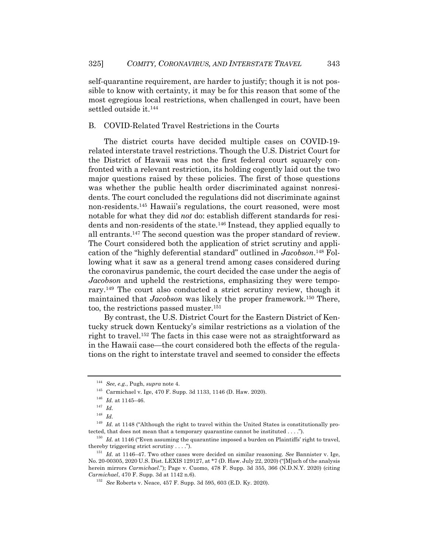self-quarantine requirement, are harder to justify; though it is not possible to know with certainty, it may be for this reason that some of the most egregious local restrictions, when challenged in court, have been settled outside it.144

#### B. COVID-Related Travel Restrictions in the Courts

The district courts have decided multiple cases on COVID-19 related interstate travel restrictions. Though the U.S. District Court for the District of Hawaii was not the first federal court squarely confronted with a relevant restriction, its holding cogently laid out the two major questions raised by these policies. The first of those questions was whether the public health order discriminated against nonresidents. The court concluded the regulations did not discriminate against non-residents.145 Hawaii's regulations, the court reasoned, were most notable for what they did *not* do: establish different standards for residents and non-residents of the state.146 Instead, they applied equally to all entrants.147 The second question was the proper standard of review. The Court considered both the application of strict scrutiny and application of the "highly deferential standard" outlined in *Jacobson*. <sup>148</sup> Following what it saw as a general trend among cases considered during the coronavirus pandemic, the court decided the case under the aegis of *Jacobson* and upheld the restrictions, emphasizing they were temporary.149 The court also conducted a strict scrutiny review, though it maintained that *Jacobson* was likely the proper framework.<sup>150</sup> There, too, the restrictions passed muster.151

By contrast, the U.S. District Court for the Eastern District of Kentucky struck down Kentucky's similar restrictions as a violation of the right to travel.152 The facts in this case were not as straightforward as in the Hawaii case—the court considered both the effects of the regulations on the right to interstate travel and seemed to consider the effects

<sup>144</sup> *See, e.g.*, Pugh, *supra* note 4.

<sup>145</sup> Carmichael v. Ige, 470 F. Supp. 3d 1133, 1146 (D. Haw. 2020).

 $^{146}\,$   $Id.\,$  at 1145–46.

<sup>147</sup> *Id.*

<sup>148</sup> *Id.*

<sup>&</sup>lt;sup>149</sup> *Id.* at 1148 ("Although the right to travel within the United States is constitutionally protected, that does not mean that a temporary quarantine cannot be instituted . . . .").

<sup>&</sup>lt;sup>150</sup> *Id.* at 1146 ("Even assuming the quarantine imposed a burden on Plaintiffs' right to travel, thereby triggering strict scrutiny . . . .").

<sup>151</sup> *Id.* at 1146–47. Two other cases were decided on similar reasoning. *See* Bannister v. Ige, No. 20-00305, 2020 U.S. Dist. LEXIS 129127, at \*7 (D. Haw. July 22, 2020) ("[M]uch of the analysis herein mirrors *Carmichael*."); Page v. Cuomo, 478 F. Supp. 3d 355, 366 (N.D.N.Y. 2020) (citing *Carmichael*, 470 F. Supp. 3d at 1142 n.6).

<sup>152</sup> *See* Roberts v. Neace, 457 F. Supp. 3d 595, 603 (E.D. Ky. 2020).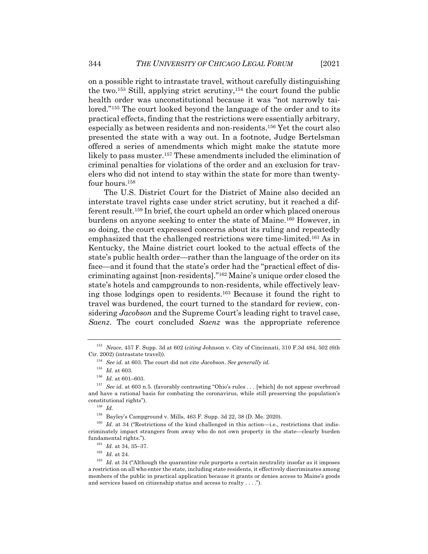on a possible right to intrastate travel, without carefully distinguishing the two.153 Still, applying strict scrutiny,154 the court found the public health order was unconstitutional because it was "not narrowly tailored."155 The court looked beyond the language of the order and to its practical effects, finding that the restrictions were essentially arbitrary, especially as between residents and non-residents.156 Yet the court also presented the state with a way out. In a footnote, Judge Bertelsman offered a series of amendments which might make the statute more likely to pass muster.157 These amendments included the elimination of criminal penalties for violations of the order and an exclusion for travelers who did not intend to stay within the state for more than twentyfour hours.158

The U.S. District Court for the District of Maine also decided an interstate travel rights case under strict scrutiny, but it reached a different result.159 In brief, the court upheld an order which placed onerous burdens on anyone seeking to enter the state of Maine.160 However, in so doing, the court expressed concerns about its ruling and repeatedly emphasized that the challenged restrictions were time-limited.161 As in Kentucky, the Maine district court looked to the actual effects of the state's public health order—rather than the language of the order on its face—and it found that the state's order had the "practical effect of discriminating against [non-residents]."162 Maine's unique order closed the state's hotels and campgrounds to non-residents, while effectively leaving those lodgings open to residents.163 Because it found the right to travel was burdened, the court turned to the standard for review, considering *Jacobson* and the Supreme Court's leading right to travel case, *Saenz*. The court concluded *Saenz* was the appropriate reference

<sup>158</sup> *Id.*

<sup>153</sup> *Neace*, 457 F. Supp. 3d at 602 (*citing* Johnson v. City of Cincinnati, 310 F.3d 484, 502 (6th Cir. 2002) (intrastate travel)).

<sup>154</sup> *See id.* at 603. The court did not cite *Jacobson*. *See generally id.*

 $^{155}\,$   $Id.\,$  at 603.

<sup>156</sup> *Id.* at 601–603.

<sup>157</sup> *See id.* at 603 n.5. (favorably contrasting "Ohio's rules . . . [which] do not appear overbroad and have a rational basis for combating the coronavirus, while still preserving the population's constitutional rights").

 $^{159}\,$  Bayley's Campground v. Mills, 463 F. Supp. 3d 22, 38 (D. Me. 2020).

<sup>&</sup>lt;sup>160</sup> *Id.* at 34 ("Restrictions of the kind challenged in this action—i.e., restrictions that indiscriminately impact strangers from away who do not own property in the state—clearly burden fundamental rights.").

<sup>161</sup> *Id.* at 34, 35–37.

 $^{162}$   $\,$   $Id.\;$  at 24.

<sup>&</sup>lt;sup>163</sup> *Id.* at 34 ("Although the quarantine rule purports a certain neutrality insofar as it imposes a restriction on all who enter the state, including state residents, it effectively discriminates among members of the public in practical application because it grants or denies access to Maine's goods and services based on citizenship status and access to realty . . . .").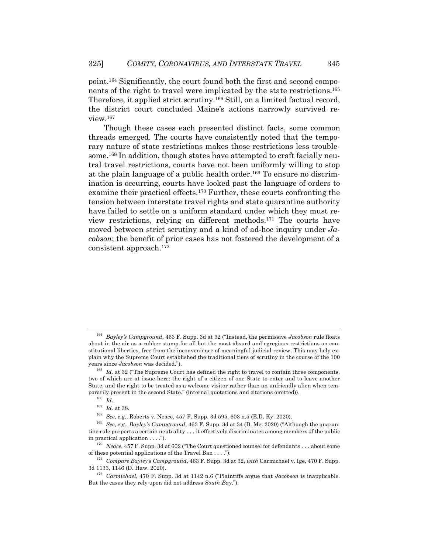point.164 Significantly, the court found both the first and second components of the right to travel were implicated by the state restrictions.165 Therefore, it applied strict scrutiny.166 Still, on a limited factual record, the district court concluded Maine's actions narrowly survived review.167

Though these cases each presented distinct facts, some common threads emerged. The courts have consistently noted that the temporary nature of state restrictions makes those restrictions less troublesome.168 In addition, though states have attempted to craft facially neutral travel restrictions, courts have not been uniformly willing to stop at the plain language of a public health order.<sup>169</sup> To ensure no discrimination is occurring, courts have looked past the language of orders to examine their practical effects.170 Further, these courts confronting the tension between interstate travel rights and state quarantine authority have failed to settle on a uniform standard under which they must review restrictions, relying on different methods.171 The courts have moved between strict scrutiny and a kind of ad-hoc inquiry under *Jacobson*; the benefit of prior cases has not fostered the development of a consistent approach.172

<sup>164</sup> *Bayley's Campground*, 463 F. Supp. 3d at 32 ("Instead, the permissive *Jacobson* rule floats about in the air as a rubber stamp for all but the most absurd and egregious restrictions on constitutional liberties, free from the inconvenience of meaningful judicial review. This may help explain why the Supreme Court established the traditional tiers of scrutiny in the course of the 100 years since *Jacobson* was decided.").

<sup>&</sup>lt;sup>165</sup> *Id.* at 32 ("The Supreme Court has defined the right to travel to contain three components, two of which are at issue here: the right of a citizen of one State to enter and to leave another State, and the right to be treated as a welcome visitor rather than an unfriendly alien when temporarily present in the second State." (internal quotations and citations omitted)).

<sup>166</sup> *Id.*

 $167$  *Id.* at 38.

<sup>168</sup> *See, e.g.*, Roberts v. Neace, 457 F. Supp. 3d 595, 603 n.5 (E.D. Ky. 2020).

<sup>169</sup> *See, e.g.*, *Bayley's Campground*, 463 F. Supp. 3d at 34 (D. Me. 2020) ("Although the quarantine rule purports a certain neutrality . . . it effectively discriminates among members of the public in practical application . . . .").

<sup>&</sup>lt;sup>170</sup> *Neace*, 457 F. Supp. 3d at 602 ("The Court questioned counsel for defendants . . . about some of these potential applications of the Travel Ban . . . .").

<sup>171</sup> *Compare Bayley's Campground*, 463 F. Supp. 3d at 32, *with* Carmichael v. Ige, 470 F. Supp. 3d 1133, 1146 (D. Haw. 2020).

<sup>172</sup> *Carmichael*, 470 F. Supp. 3d at 1142 n.6 ("Plaintiffs argue that *Jacobson* is inapplicable. But the cases they rely upon did not address *South Bay*.").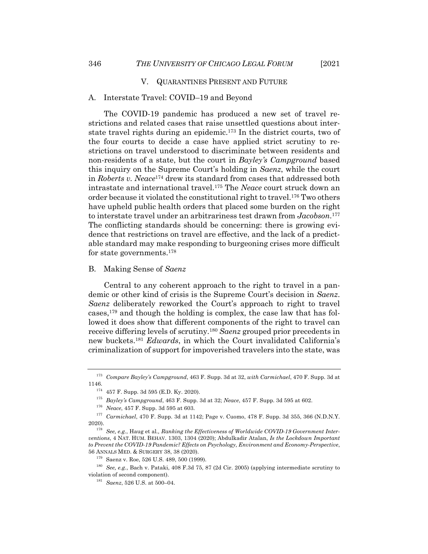#### V. QUARANTINES PRESENT AND FUTURE

#### A. Interstate Travel: COVID–19 and Beyond

The COVID-19 pandemic has produced a new set of travel restrictions and related cases that raise unsettled questions about interstate travel rights during an epidemic.173 In the district courts, two of the four courts to decide a case have applied strict scrutiny to restrictions on travel understood to discriminate between residents and non-residents of a state, but the court in *Bayley's Campground* based this inquiry on the Supreme Court's holding in *Saenz*, while the court in *Roberts v. Neace*<sup>174</sup> drew its standard from cases that addressed both intrastate and international travel.175 The *Neace* court struck down an order because it violated the constitutional right to travel.176 Two others have upheld public health orders that placed some burden on the right to interstate travel under an arbitrariness test drawn from *Jacobson*. 177 The conflicting standards should be concerning: there is growing evidence that restrictions on travel are effective, and the lack of a predictable standard may make responding to burgeoning crises more difficult for state governments.178

### B. Making Sense of *Saenz*

Central to any coherent approach to the right to travel in a pandemic or other kind of crisis is the Supreme Court's decision in *Saenz*. *Saenz* deliberately reworked the Court's approach to right to travel cases,179 and though the holding is complex, the case law that has followed it does show that different components of the right to travel can receive differing levels of scrutiny.180 *Saenz* grouped prior precedents in new buckets.181 *Edwards*, in which the Court invalidated California's criminalization of support for impoverished travelers into the state, was

<sup>173</sup> *Compare Bayley's Campground*, 463 F. Supp. 3d at 32, *with Carmichael*, 470 F. Supp. 3d at 1146.

 $174$  457 F. Supp. 3d 595 (E.D. Ky. 2020).

<sup>175</sup> *Bayley's Campground*, 463 F. Supp. 3d at 32; *Neace*, 457 F. Supp. 3d 595 at 602.

<sup>176</sup> *Neace*, 457 F. Supp. 3d 595 at 603.

<sup>177</sup> *Carmichael*, 470 F. Supp. 3d at 1142; Page v. Cuomo, 478 F. Supp. 3d 355, 366 (N.D.N.Y. 2020).

<sup>178</sup> *See, e.g.*, Haug et al*., Ranking the Effectiveness of Worldwide COVID-19 Government Interventions*, 4 NAT. HUM. BEHAV. 1303, 1304 (2020); Abdulkadir Atalan, *Is the Lockdown Important to Prevent the COVID-19 Pandemic? Effects on Psychology, Environment and Economy-Perspective*, 56 ANNALS MED. & SURGERY 38, 38 (2020).

<sup>179</sup> Saenz v. Roe, 526 U.S. 489, 500 (1999).

<sup>180</sup> *See, e.g.*, Bach v. Pataki, 408 F.3d 75, 87 (2d Cir. 2005) (applying intermediate scrutiny to violation of second component).

<sup>181</sup> *Saenz*, 526 U.S. at 500–04.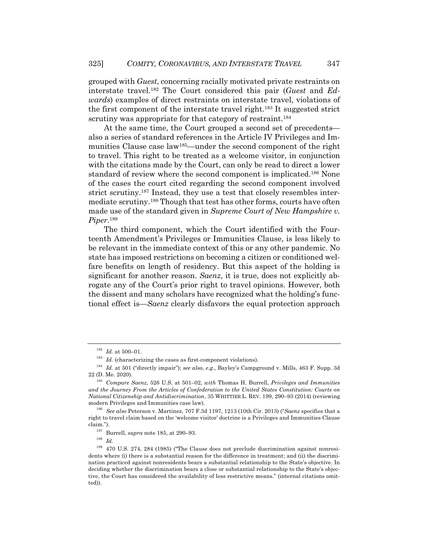grouped with *Guest*, concerning racially motivated private restraints on interstate travel.182 The Court considered this pair (*Guest* and *Edwards*) examples of direct restraints on interstate travel, violations of the first component of the interstate travel right.183 It suggested strict scrutiny was appropriate for that category of restraint.<sup>184</sup>

At the same time, the Court grouped a second set of precedents also a series of standard references in the Article IV Privileges and Immunities Clause case law185—under the second component of the right to travel. This right to be treated as a welcome visitor, in conjunction with the citations made by the Court, can only be read to direct a lower standard of review where the second component is implicated.186 None of the cases the court cited regarding the second component involved strict scrutiny.187 Instead, they use a test that closely resembles intermediate scrutiny.188 Though that test has other forms, courts have often made use of the standard given in *Supreme Court of New Hampshire v. Piper*.189

The third component, which the Court identified with the Fourteenth Amendment's Privileges or Immunities Clause, is less likely to be relevant in the immediate context of this or any other pandemic. No state has imposed restrictions on becoming a citizen or conditioned welfare benefits on length of residency. But this aspect of the holding is significant for another reason. *Saenz*, it is true, does not explicitly abrogate any of the Court's prior right to travel opinions. However, both the dissent and many scholars have recognized what the holding's functional effect is—*Saenz* clearly disfavors the equal protection approach

 $\frac{188}{189}$  *Id.* 

<sup>182</sup> *Id.* at 500–01.

 $^{183}\,$   $Id.$  (characterizing the cases as first-component violations).

<sup>184</sup> *Id.* at 501 ("directly impair"); *see also, e.g.*, Bayley's Campground v. Mills, 463 F. Supp. 3d 22 (D. Me. 2020).

<sup>185</sup> *Compare Saenz*, 526 U.S. at 501–02, *with* Thomas H. Burrell, *Privileges and Immunities and the Journey From the Articles of Confederation to the United States Constitution: Courts on National Citizenship and Antidiscrimination*, 35 WHITTIER L. REV. 199, 290–93 (2014) (reviewing modern Privileges and Immunities case law).

<sup>186</sup> *See also* Peterson v. Martinez, 707 F.3d 1197, 1213 (10th Cir. 2013) ("*Saenz* specifies that a right to travel claim based on the 'welcome visitor' doctrine is a Privileges and Immunities Clause claim.").

<sup>187</sup> Burrell, *supra* note 185, at 290–93.

<sup>189</sup> 470 U.S. 274, 284 (1985) ("The Clause does not preclude discrimination against nonresidents where (i) there is a substantial reason for the difference in treatment; and (ii) the discrimination practiced against nonresidents bears a substantial relationship to the State's objective. In deciding whether the discrimination bears a close or substantial relationship to the State's objective, the Court has considered the availability of less restrictive means." (internal citations omitted)).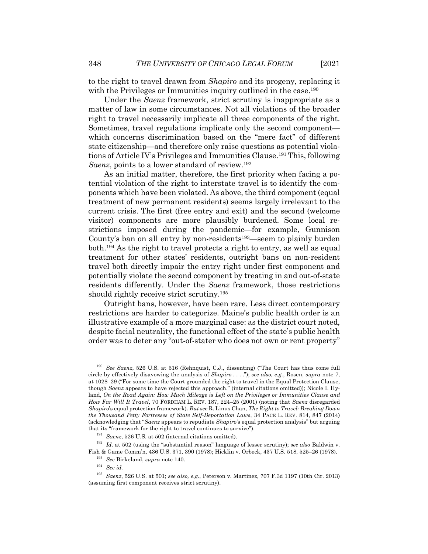to the right to travel drawn from *Shapiro* and its progeny, replacing it with the Privileges or Immunities inquiry outlined in the case.<sup>190</sup>

Under the *Saenz* framework, strict scrutiny is inappropriate as a matter of law in some circumstances. Not all violations of the broader right to travel necessarily implicate all three components of the right. Sometimes, travel regulations implicate only the second component which concerns discrimination based on the "mere fact" of different state citizenship—and therefore only raise questions as potential violations of Article IV's Privileges and Immunities Clause.191 This, following *Saenz*, points to a lower standard of review.192

As an initial matter, therefore, the first priority when facing a potential violation of the right to interstate travel is to identify the components which have been violated. As above, the third component (equal treatment of new permanent residents) seems largely irrelevant to the current crisis. The first (free entry and exit) and the second (welcome visitor) components are more plausibly burdened. Some local restrictions imposed during the pandemic—for example, Gunnison County's ban on all entry by non-residents<sup>193</sup>—seem to plainly burden both.194 As the right to travel protects a right to entry, as well as equal treatment for other states' residents, outright bans on non-resident travel both directly impair the entry right under first component and potentially violate the second component by treating in and out-of-state residents differently. Under the *Saenz* framework, those restrictions should rightly receive strict scrutiny.<sup>195</sup>

Outright bans, however, have been rare. Less direct contemporary restrictions are harder to categorize. Maine's public health order is an illustrative example of a more marginal case: as the district court noted, despite facial neutrality, the functional effect of the state's public health order was to deter any "out-of-stater who does not own or rent property"

<sup>190</sup> *See Saenz*, 526 U.S. at 516 (Rehnquist, C.J., dissenting) ("The Court has thus come full circle by effectively disavowing the analysis of *Shapiro* . . . ."); *see also, e.g.*, Rosen, *supra* note 7, at 1028–29 ("For some time the Court grounded the right to travel in the Equal Protection Clause, though *Saenz* appears to have rejected this approach." (internal citations omitted)); Nicole I. Hyland, *On the Road Again: How Much Mileage is Left on the Privileges or Immunities Clause and How Far Will It Travel*, 70 FORDHAM L. REV. 187, 224–25 (2001) (noting that *Saenz* disregarded *Shapiro*'s equal protection framework). *But see* R. Linus Chan, *The Right to Travel: Breaking Down the Thousand Petty Fortresses of State Self-Deportation Laws*, 34 PACE L. REV. 814, 847 (2014) (acknowledging that "*Saenz* appears to repudiate *Shapiro'*s equal protection analysis" but arguing that its "framework for the right to travel continues to survive").

<sup>191</sup> *Saenz*, 526 U.S. at 502 (internal citations omitted).

<sup>192</sup> *Id.* at 502 (using the "substantial reason" language of lesser scrutiny); *see also* Baldwin v. Fish & Game Comm'n, 436 U.S. 371, 390 (1978); Hicklin v. Orbeck, 437 U.S. 518, 525–26 (1978).

<sup>193</sup> *See* Birkeland, *supra* note 140.

<sup>194</sup> *See id.*

<sup>195</sup> *Saenz*, 526 U.S. at 501; *see also, e.g.*, Peterson v. Martinez, 707 F.3d 1197 (10th Cir. 2013) (assuming first component receives strict scrutiny).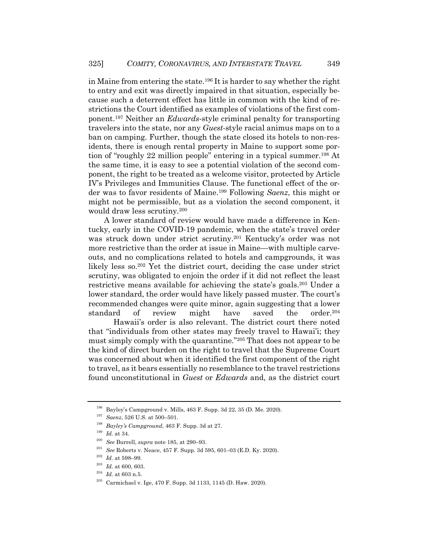in Maine from entering the state.196 It is harder to say whether the right to entry and exit was directly impaired in that situation, especially because such a deterrent effect has little in common with the kind of restrictions the Court identified as examples of violations of the first component.197 Neither an *Edwards*-style criminal penalty for transporting travelers into the state, nor any *Guest*-style racial animus maps on to a ban on camping. Further, though the state closed its hotels to non-residents, there is enough rental property in Maine to support some portion of "roughly 22 million people" entering in a typical summer.198 At the same time, it is easy to see a potential violation of the second component, the right to be treated as a welcome visitor, protected by Article IV's Privileges and Immunities Clause. The functional effect of the order was to favor residents of Maine.199 Following *Saenz*, this might or might not be permissible, but as a violation the second component, it would draw less scrutiny.200

A lower standard of review would have made a difference in Kentucky, early in the COVID-19 pandemic, when the state's travel order was struck down under strict scrutiny.201 Kentucky's order was not more restrictive than the order at issue in Maine—with multiple carveouts, and no complications related to hotels and campgrounds, it was likely less so.202 Yet the district court, deciding the case under strict scrutiny, was obligated to enjoin the order if it did not reflect the least restrictive means available for achieving the state's goals.203 Under a lower standard, the order would have likely passed muster. The court's recommended changes were quite minor, again suggesting that a lower standard of review might have saved the order.204

Hawaii's order is also relevant. The district court there noted that "individuals from other states may freely travel to Hawai'i; they must simply comply with the quarantine."205 That does not appear to be the kind of direct burden on the right to travel that the Supreme Court was concerned about when it identified the first component of the right to travel, as it bears essentially no resemblance to the travel restrictions found unconstitutional in *Guest* or *Edwards* and, as the district court

<sup>196</sup> Bayley's Campground v. Mills, 463 F. Supp. 3d 22, 35 (D. Me. 2020).

<sup>197</sup> *Saenz*, 526 U.S. at 500–501.

<sup>198</sup> *Bayley's Campground*, 463 F. Supp. 3d at 27.

<sup>199</sup> *Id.* at 34.

<sup>200</sup> *See* Burrell, *supra* note 185, at 290–93.

<sup>&</sup>lt;sup>201</sup> *See* Roberts v. Neace, 457 F. Supp. 3d 595, 601–03 (E.D. Ky. 2020).<br><sup>202</sup> *H*<sub>2</sub> of 508, 90.

*Id.* at 598-99.

<sup>203</sup> *Id.* at 600, 603.

 $\frac{204}{205}$  *Id.* at 603 n.5.

Carmichael v. Ige, 470 F. Supp. 3d 1133, 1145 (D. Haw. 2020).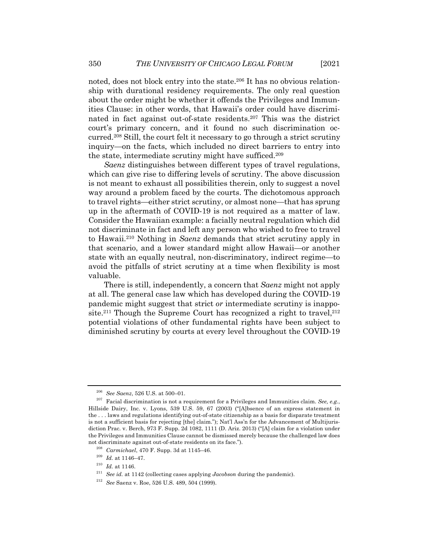noted, does not block entry into the state.<sup>206</sup> It has no obvious relationship with durational residency requirements. The only real question about the order might be whether it offends the Privileges and Immunities Clause: in other words, that Hawaii's order could have discriminated in fact against out-of-state residents.207 This was the district court's primary concern, and it found no such discrimination occurred.208 Still, the court felt it necessary to go through a strict scrutiny inquiry—on the facts, which included no direct barriers to entry into the state, intermediate scrutiny might have sufficed.209

*Saenz* distinguishes between different types of travel regulations, which can give rise to differing levels of scrutiny. The above discussion is not meant to exhaust all possibilities therein, only to suggest a novel way around a problem faced by the courts. The dichotomous approach to travel rights—either strict scrutiny, or almost none—that has sprung up in the aftermath of COVID-19 is not required as a matter of law. Consider the Hawaiian example: a facially neutral regulation which did not discriminate in fact and left any person who wished to free to travel to Hawaii.210 Nothing in *Saenz* demands that strict scrutiny apply in that scenario, and a lower standard might allow Hawaii—or another state with an equally neutral, non-discriminatory, indirect regime—to avoid the pitfalls of strict scrutiny at a time when flexibility is most valuable.

There is still, independently, a concern that *Saenz* might not apply at all. The general case law which has developed during the COVID-19 pandemic might suggest that strict *or* intermediate scrutiny is inapposite.<sup>211</sup> Though the Supreme Court has recognized a right to travel.<sup>212</sup> potential violations of other fundamental rights have been subject to diminished scrutiny by courts at every level throughout the COVID-19

<sup>206</sup> *See Saenz*, 526 U.S. at 500–01.

<sup>207</sup> Facial discrimination is not a requirement for a Privileges and Immunities claim. *See, e.g.*, Hillside Dairy, Inc. v. Lyons, 539 U.S. 59, 67 (2003) ("[A]bsence of an express statement in the . . . laws and regulations identifying out-of-state citizenship as a basis for disparate treatment is not a sufficient basis for rejecting [the] claim."); Nat'l Ass'n for the Advancement of Multijurisdiction Prac. v. Berch, 973 F. Supp. 2d 1082, 1111 (D. Ariz. 2013) ("[A] claim for a violation under the Privileges and Immunities Clause cannot be dismissed merely because the challenged law does not discriminate against out-of-state residents on its face.").

<sup>208</sup> *Carmichael*, 470 F. Supp. 3d at 1145–46.

<sup>209</sup> *Id.* at 1146–47.

 $^{210}\,$   $Id.\,$  at 1146.

<sup>211</sup> *See id.* at 1142 (collecting cases applying *Jacobson* during the pandemic).

<sup>212</sup> *See* Saenz v. Roe, 526 U.S. 489, 504 (1999).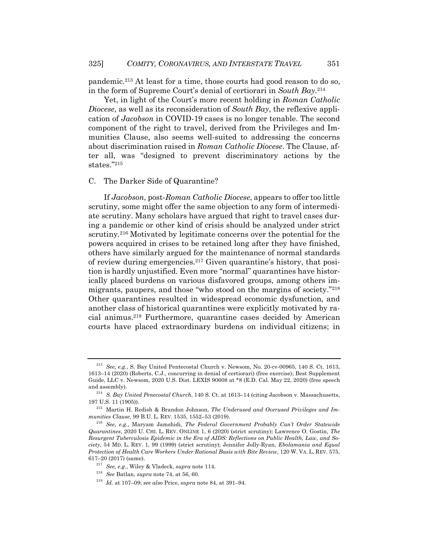pandemic.213 At least for a time, those courts had good reason to do so, in the form of Supreme Court's denial of certiorari in *South Bay*. 214

Yet, in light of the Court's more recent holding in *Roman Catholic Diocese*, as well as its reconsideration of *South Bay*, the reflexive application of *Jacobson* in COVID-19 cases is no longer tenable. The second component of the right to travel, derived from the Privileges and Immunities Clause, also seems well-suited to addressing the concerns about discrimination raised in *Roman Catholic Diocese*. The Clause, after all, was "designed to prevent discriminatory actions by the states."215

#### C. The Darker Side of Quarantine?

If *Jacobson*, post-*Roman Catholic Diocese*, appears to offer too little scrutiny, some might offer the same objection to any form of intermediate scrutiny. Many scholars have argued that right to travel cases during a pandemic or other kind of crisis should be analyzed under strict scrutiny.216 Motivated by legitimate concerns over the potential for the powers acquired in crises to be retained long after they have finished, others have similarly argued for the maintenance of normal standards of review during emergencies.217 Given quarantine's history, that position is hardly unjustified. Even more "normal" quarantines have historically placed burdens on various disfavored groups, among others immigrants, paupers, and those "who stood on the margins of society."218 Other quarantines resulted in widespread economic dysfunction, and another class of historical quarantines were explicitly motivated by racial animus.219 Furthermore, quarantine cases decided by American courts have placed extraordinary burdens on individual citizens; in

<sup>213</sup> *See, e.g.*, S. Bay United Pentecostal Church v. Newsom, No. 20-cv-00965, 140 S. Ct. 1613, 1613–14 (2020) (Roberts, C.J., concurring in denial of certiorari) (free exercise); Best Supplement Guide, LLC v. Newsom, 2020 U.S. Dist. LEXIS 90608 at \*8 (E.D. Cal. May 22, 2020) (free speech and assembly).

<sup>214</sup> *S. Bay United Penecostal Church*, 140 S. Ct. at 1613–14 (citing Jacobson v. Massachusetts, 197 U.S. 11 (1905)).

<sup>215</sup> Martin H. Redish & Brandon Johnson, *The Underused and Overused Privileges and Immunities Clause*, 99 B.U. L. REV. 1535, 1552–53 (2019).

<sup>216</sup> *See, e.g.*, Maryam Jamshidi, *The Federal Government Probably Can't Order Statewide Quarantines*, 2020 U. CHI. L. REV. ONLINE 1, 6 (2020) (strict scrutiny); Lawrence O. Gostin, *The Resurgent Tuberculosis Epidemic in the Era of AIDS: Reflections on Public Health, Law, and Society*, 54 MD. L. REV. 1, 99 (1999) (strict scrutiny); Jennifer Jolly-Ryan, *Ebolamania and Equal Protection of Health Care Workers Under Rational Basis with Bite Review*, 120 W. VA. L. REV. 575, 617–20 (2017) (same).

<sup>217</sup> *See, e.g.*, Wiley & Vladeck, *supra* note 114.

<sup>218</sup> *See* Batlan, *supra* note 74, at 56, 60.

<sup>219</sup> *Id.* at 107–09; *see also* Price, *supra* note 84, at 391–94.